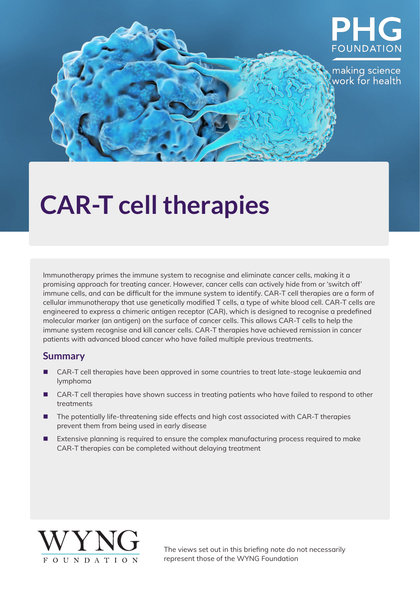

# **CAR-T cell therapies**

Immunotherapy primes the immune system to recognise and eliminate cancer cells, making it a promising approach for treating cancer. However, cancer cells can actively hide from or 'switch off' immune cells, and can be difficult for the immune system to identify. CAR-T cell therapies are a form of cellular immunotherapy that use genetically modified T cells, a type of white blood cell. CAR-T cells are engineered to express a chimeric antigen receptor (CAR), which is designed to recognise a predefined molecular marker (an antigen) on the surface of cancer cells. This allows CAR-T cells to help the immune system recognise and kill cancer cells. CAR-T therapies have achieved remission in cancer patients with advanced blood cancer who have failed multiple previous treatments.

### **Summary**

- CAR-T cell therapies have been approved in some countries to treat late-stage leukaemia and lymphoma
- CAR-T cell therapies have shown success in treating patients who have failed to respond to other treatments
- The potentially life-threatening side effects and high cost associated with CAR-T therapies prevent them from being used in early disease
- **Extensive planning is required to ensure the complex manufacturing process required to make** CAR-T therapies can be completed without delaying treatment



The views set out in this briefing note do not necessarily represent those of the WYNG Foundation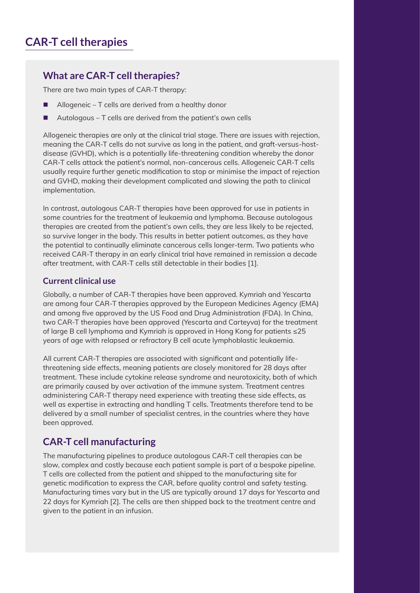# **What are CAR-T cell therapies?**

There are two main types of CAR-T therapy:

- Allogeneic T cells are derived from a healthy donor
- Autologous T cells are derived from the patient's own cells

Allogeneic therapies are only at the clinical trial stage. There are issues with rejection, meaning the CAR-T cells do not survive as long in the patient, and graft-versus-hostdisease (GVHD), which is a potentially life-threatening condition whereby the donor CAR-T cells attack the patient's normal, non-cancerous cells. Allogeneic CAR-T cells usually require further genetic modification to stop or minimise the impact of rejection and GVHD, making their development complicated and slowing the path to clinical implementation.

In contrast, autologous CAR-T therapies have been approved for use in patients in some countries for the treatment of leukaemia and lymphoma. Because autologous therapies are created from the patient's own cells, they are less likely to be rejected, so survive longer in the body. This results in better patient outcomes, as they have the potential to continually eliminate cancerous cells longer-term. Two patients who received CAR-T therapy in an early clinical trial have remained in remission a decade after treatment, with CAR-T cells still detectable in their bodies [1].

#### **Current clinical use**

Globally, a number of CAR-T therapies have been approved. Kymriah and Yescarta are among four CAR-T therapies approved by the European Medicines Agency (EMA) and among five approved by the US Food and Drug Administration (FDA). In China, two CAR-T therapies have been approved (Yescarta and Carteyva) for the treatment of large B cell lymphoma and Kymriah is approved in Hong Kong for patients ≤25 years of age with relapsed or refractory B cell acute lymphoblastic leukaemia.

All current CAR-T therapies are associated with significant and potentially lifethreatening side effects, meaning patients are closely monitored for 28 days after treatment. These include cytokine release syndrome and neurotoxicity, both of which are primarily caused by over activation of the immune system. Treatment centres administering CAR-T therapy need experience with treating these side effects, as well as expertise in extracting and handling T cells. Treatments therefore tend to be delivered by a small number of specialist centres, in the countries where they have been approved.

# **CAR-T cell manufacturing**

The manufacturing pipelines to produce autologous CAR-T cell therapies can be slow, complex and costly because each patient sample is part of a bespoke pipeline. T cells are collected from the patient and shipped to the manufacturing site for genetic modification to express the CAR, before quality control and safety testing. Manufacturing times vary but in the US are typically around 17 days for Yescarta and 22 days for Kymriah [2]. The cells are then shipped back to the treatment centre and given to the patient in an infusion.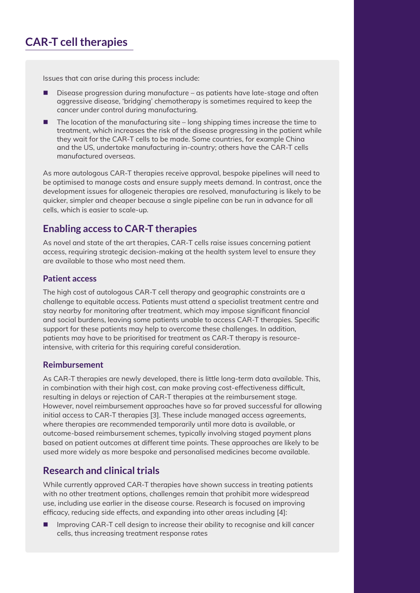# **CAR-T cell therapies**

Issues that can arise during this process include:

- Disease progression during manufacture as patients have late-stage and often aggressive disease, 'bridging' chemotherapy is sometimes required to keep the cancer under control during manufacturing.
- $\blacksquare$  The location of the manufacturing site long shipping times increase the time to treatment, which increases the risk of the disease progressing in the patient while they wait for the CAR-T cells to be made. Some countries, for example China and the US, undertake manufacturing in-country; others have the CAR-T cells manufactured overseas.

As more autologous CAR-T therapies receive approval, bespoke pipelines will need to be optimised to manage costs and ensure supply meets demand. In contrast, once the development issues for allogeneic therapies are resolved, manufacturing is likely to be quicker, simpler and cheaper because a single pipeline can be run in advance for all cells, which is easier to scale-up.

## **Enabling access to CAR-T therapies**

As novel and state of the art therapies, CAR-T cells raise issues concerning patient access, requiring strategic decision-making at the health system level to ensure they are available to those who most need them.

#### **Patient access**

The high cost of autologous CAR-T cell therapy and geographic constraints are a challenge to equitable access. Patients must attend a specialist treatment centre and stay nearby for monitoring after treatment, which may impose significant financial and social burdens, leaving some patients unable to access CAR-T therapies. Specific support for these patients may help to overcome these challenges. In addition, patients may have to be prioritised for treatment as CAR-T therapy is resourceintensive, with criteria for this requiring careful consideration.

#### **Reimbursement**

As CAR-T therapies are newly developed, there is little long-term data available. This, in combination with their high cost, can make proving cost-effectiveness difficult, resulting in delays or rejection of CAR-T therapies at the reimbursement stage. However, novel reimbursement approaches have so far proved successful for allowing initial access to CAR-T therapies [3]. These include managed access agreements, where therapies are recommended temporarily until more data is available, or outcome-based reimbursement schemes, typically involving staged payment plans based on patient outcomes at different time points. These approaches are likely to be used more widely as more bespoke and personalised medicines become available.

## **Research and clinical trials**

While currently approved CAR-T therapies have shown success in treating patients with no other treatment options, challenges remain that prohibit more widespread use, including use earlier in the disease course. Research is focused on improving efficacy, reducing side effects, and expanding into other areas including [4]:

 Improving CAR-T cell design to increase their ability to recognise and kill cancer cells, thus increasing treatment response rates